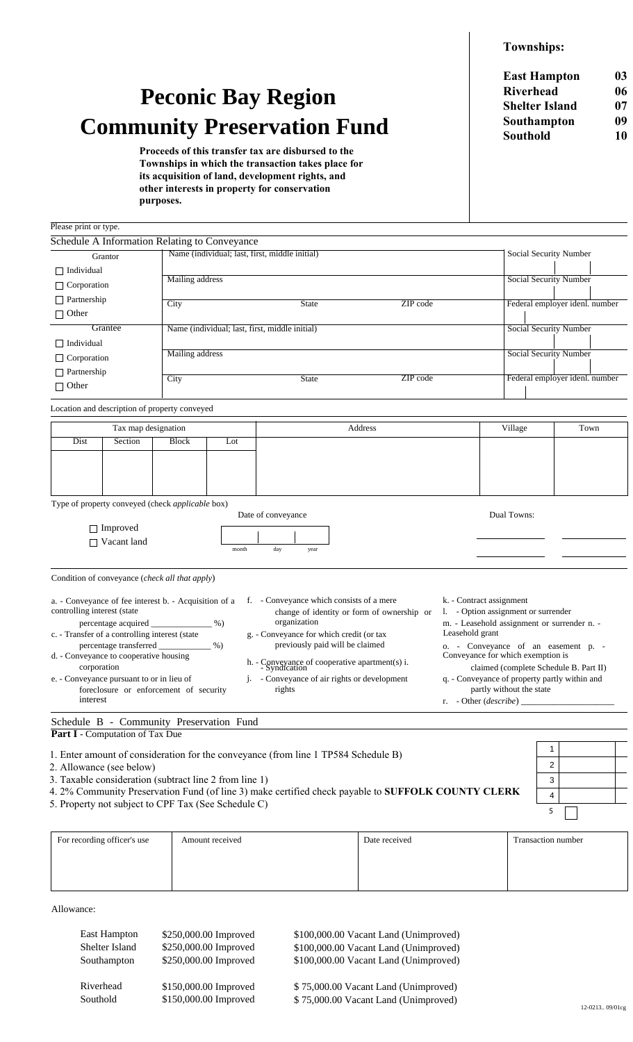**Townships:** 

## **Peconic Bay Region Community Preservation Fund**

Proceeds of this transfer tax are disbursed to the Townships in which the transaction takes place for its acquisition of land, development rights, and other interests in property for conservation purposes.

**East Hampton**  $03$ Riverhead 06 **Shelter Island**  $07$ Southampton  $09$ **Southold** 10

| Please print or type.       |                                                                                                                                                    |                 |                                                |                                                                                                                                                    |          |                                                                                                                                   |                                |                               |  |  |
|-----------------------------|----------------------------------------------------------------------------------------------------------------------------------------------------|-----------------|------------------------------------------------|----------------------------------------------------------------------------------------------------------------------------------------------------|----------|-----------------------------------------------------------------------------------------------------------------------------------|--------------------------------|-------------------------------|--|--|
|                             | Schedule A Information Relating to Conveyance                                                                                                      |                 |                                                |                                                                                                                                                    |          |                                                                                                                                   |                                |                               |  |  |
|                             | Grantor                                                                                                                                            |                 |                                                | Name (individual; last, first, middle initial)                                                                                                     |          |                                                                                                                                   | Social Security Number         |                               |  |  |
| $\Box$ Individual           |                                                                                                                                                    |                 |                                                |                                                                                                                                                    |          |                                                                                                                                   |                                |                               |  |  |
| $\Box$ Corporation          |                                                                                                                                                    | Mailing address |                                                |                                                                                                                                                    |          |                                                                                                                                   | <b>Social Security Number</b>  |                               |  |  |
| $\Box$ Partnership          |                                                                                                                                                    | City            |                                                | State                                                                                                                                              | ZIP code |                                                                                                                                   | Federal employer idenl. number |                               |  |  |
| $\Box$ Other                |                                                                                                                                                    |                 |                                                |                                                                                                                                                    |          |                                                                                                                                   |                                |                               |  |  |
| Grantee                     |                                                                                                                                                    |                 | Name (individual; last, first, middle initial) |                                                                                                                                                    |          |                                                                                                                                   |                                | Social Security Number        |  |  |
| $\Box$ Individual           |                                                                                                                                                    |                 |                                                |                                                                                                                                                    |          |                                                                                                                                   |                                |                               |  |  |
| $\Box$ Corporation          |                                                                                                                                                    |                 | Mailing address                                |                                                                                                                                                    |          |                                                                                                                                   |                                | <b>Social Security Number</b> |  |  |
| $\Box$ Partnership          |                                                                                                                                                    |                 |                                                |                                                                                                                                                    |          |                                                                                                                                   |                                |                               |  |  |
| $\Box$ Other                |                                                                                                                                                    | City            |                                                | <b>State</b>                                                                                                                                       | ZIP code |                                                                                                                                   | Federal employer idenl. number |                               |  |  |
|                             | Location and description of property conveyed                                                                                                      |                 |                                                |                                                                                                                                                    |          |                                                                                                                                   |                                |                               |  |  |
|                             | Tax map designation                                                                                                                                |                 |                                                | Address                                                                                                                                            |          |                                                                                                                                   | Village                        | Town                          |  |  |
| Dist                        | Section                                                                                                                                            | <b>Block</b>    | Lot                                            |                                                                                                                                                    |          |                                                                                                                                   |                                |                               |  |  |
|                             |                                                                                                                                                    |                 |                                                |                                                                                                                                                    |          |                                                                                                                                   |                                |                               |  |  |
|                             |                                                                                                                                                    |                 |                                                |                                                                                                                                                    |          |                                                                                                                                   |                                |                               |  |  |
|                             |                                                                                                                                                    |                 |                                                |                                                                                                                                                    |          |                                                                                                                                   |                                |                               |  |  |
|                             | Type of property conveyed (check applicable box)                                                                                                   |                 |                                                |                                                                                                                                                    |          |                                                                                                                                   |                                |                               |  |  |
|                             |                                                                                                                                                    |                 |                                                | Date of conveyance                                                                                                                                 |          |                                                                                                                                   | Dual Towns:                    |                               |  |  |
|                             | $\Box$ Improved                                                                                                                                    |                 |                                                |                                                                                                                                                    |          |                                                                                                                                   |                                |                               |  |  |
|                             | Vacant land                                                                                                                                        |                 | month                                          | day                                                                                                                                                |          |                                                                                                                                   |                                |                               |  |  |
|                             |                                                                                                                                                    |                 |                                                | year                                                                                                                                               |          |                                                                                                                                   |                                |                               |  |  |
|                             | Condition of conveyance ( <i>check all that apply</i> )                                                                                            |                 |                                                |                                                                                                                                                    |          |                                                                                                                                   |                                |                               |  |  |
| controlling interest (state | a. - Conveyance of fee interest b. - Acquisition of a<br>percentage acquired _________________%)<br>c. - Transfer of a controlling interest (state |                 |                                                | f. - Conveyance which consists of a mere<br>change of identity or form of ownership or<br>organization<br>g. - Conveyance for which credit (or tax |          | k. - Contract assignment<br>1. - Option assignment or surrender<br>m. - Leasehold assignment or surrender n. -<br>Leasehold grant |                                |                               |  |  |
| $\frac{9}{6}$               |                                                                                                                                                    |                 |                                                | previously paid will be claimed<br>o. - Conveyance of an easement p. -                                                                             |          |                                                                                                                                   |                                |                               |  |  |

|  | o. - Conveyance of an easement p. -     |  |  |  |
|--|-----------------------------------------|--|--|--|
|  | Conveyance for which exemption is       |  |  |  |
|  | alaimed (agundata Calcadala D. Dant II) |  |  |  |

| claimed (complete Schedule B. Part II)        |
|-----------------------------------------------|
| q. - Conveyance of property partly within and |
| partly without the state                      |

 $\mathbf{1}$ 

 $\overline{a}$ 

 $\overline{3}$ 

 $\overline{\mathbf{4}}$ 

5

r. - Other (describe)

Schedule B - Community Preservation Fund Part I - Computation of Tax Due

foreclosure or enforcement of security

1. Enter amount of consideration for the conveyance (from line 1 TP584 Schedule B)

\$150,000.00 Improved

j.

2. Allowance (see below)

d. - Conveyance to cooperative housing

e. - Conveyance pursuant to or in lieu of

corporation

interest

- 3. Taxable consideration (subtract line 2 from line 1)
- 4. 2% Community Preservation Fund (of line 3) make certified check payable to SUFFOLK COUNTY CLERK

rights

5. Property not subject to CPF Tax (See Schedule C)

| For recording officer's use | Amount received | Date received | Transaction number |
|-----------------------------|-----------------|---------------|--------------------|
|                             |                 |               |                    |
|                             |                 |               |                    |
|                             |                 |               |                    |

h. - Conveyance of cooperative apartment(s) i.<br>- Syndication

- Conveyance of air rights or development

Allowance:

Southold

| East Hampton   | \$250,000.00 Improved | \$100,000.00 Vacant Land (Unimproved) |
|----------------|-----------------------|---------------------------------------|
| Shelter Island | \$250,000.00 Improved | \$100,000.00 Vacant Land (Unimproved) |
| Southampton    | \$250,000.00 Improved | \$100,000.00 Vacant Land (Unimproved) |
|                |                       |                                       |
| Riverhead      | \$150,000.00 Improved | \$75,000,00 Vacant Land (Unimproved)  |

\$75,000.00 Vacant Land (Unimproved)